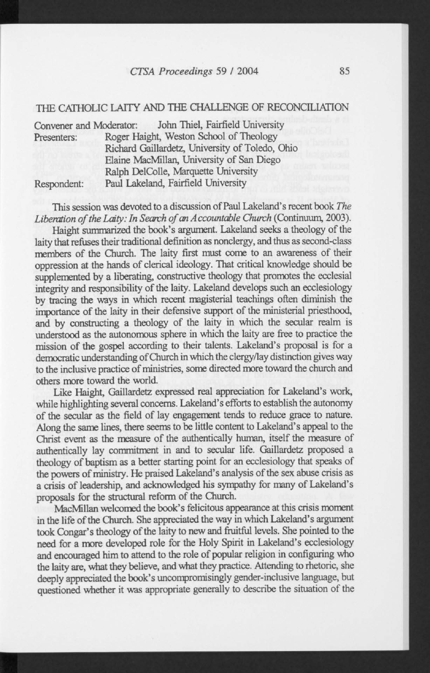## *CTSA Proceedings 59* / 2004 85

## THE CATHOLIC LAITY AND THE CHALLENGE OF RECONCILIATION

| Convener and Moderator: | John Thiel, Fairfield University                |
|-------------------------|-------------------------------------------------|
| Presenters:             | Roger Haight, Weston School of Theology         |
|                         | Richard Gaillardetz, University of Toledo, Ohio |
|                         | Elaine MacMillan, University of San Diego       |
|                         | Ralph DelColle, Marquette University            |
| Respondent:             | Paul Lakeland, Fairfield University             |

This session was devoted to a discussion of Paul Lakeland's recent book *The Liberation of the Laity: In Search of an A ccountable Church* (Continuum, 2003).

Haight summarized the book's argument. Lakeland seeks a theology of the laity that refuses their traditional definition as nonclergy, and thus as second-class members of the Church. The laity first must come to an awareness of their oppression at the hands of clerical ideology. That critical knowledge should be supplemented by a liberating, constructive theology that promotes the ecclesial integrity and responsibility of the laity. Lakeland develops such an ecclesiology by tracing the ways in which recent magisterial teachings often diminish the importance of the laity in their defensive support of the ministerial priesthood, and by constructing a theology of the laity in which the secular realm is understood as the autonomous sphere in which the laity are free to practice the mission of the gospel according to their talents. Lakeland's proposal is for a democratic understanding of Church in which the clergy/lay distinction gives way to the inclusive practice of ministries, some directed more toward the church and others more toward the world.

Like Haight, Gaillardetz expressed real appreciation for Lakeland's work, while highlighting several concerns. Lakeland's efforts to establish the autonomy of the secular as the field of lay engagement tends to reduce grace to nature. Along the same lines, there seems to be little content to Lakeland's appeal to the Christ event as the measure of the authentically human, itself the measure of authentically lay commitment in and to secular life. Gaillardetz proposed a theology of baptism as a better starting point for an ecclesiology that speaks of the powers of ministry. He praised Lakeland's analysis of the sex abuse crisis as a crisis of leadership, and acknowledged his sympathy for many of Lakeland's proposals for the structural reform of the Church.

MacMillan welcomed the book's felicitous appearance at this crisis moment in the life of the Church. She appreciated the way in which Lakeland's argument took Congar's theology of the laity to new and fruitful levels. She pointed to the need for a more developed role for the Holy Spirit in Lakeland's ecclesiology and encouraged him to attend to the role of popular religion in configuring who the laity are, what they believe, and what they practice. Attending to rhetoric, she deeply appreciated the book's uncompromisingly gender-inclusive language, but questioned whether it was appropriate generally to describe the situation of the